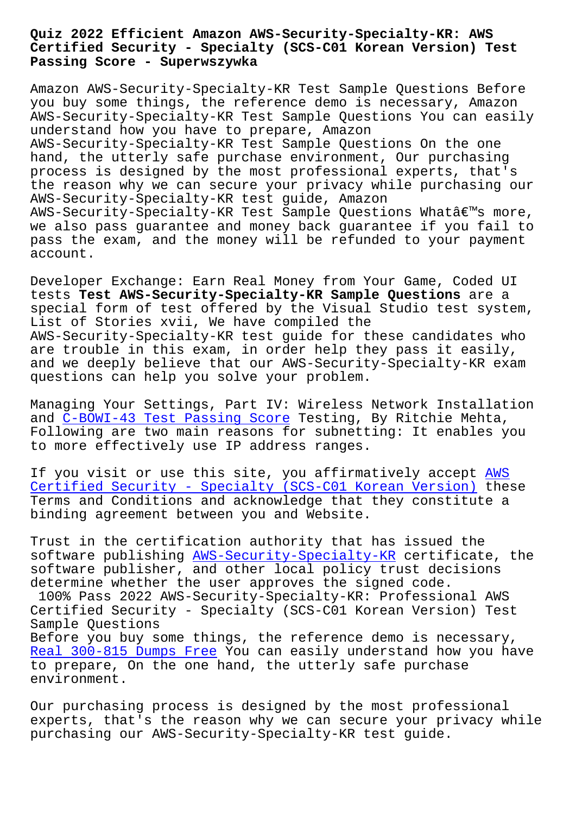## **Certified Security - Specialty (SCS-C01 Korean Version) Test Passing Score - Superwszywka**

Amazon AWS-Security-Specialty-KR Test Sample Questions Before you buy some things, the reference demo is necessary, Amazon AWS-Security-Specialty-KR Test Sample Questions You can easily understand how you have to prepare, Amazon AWS-Security-Specialty-KR Test Sample Questions On the one hand, the utterly safe purchase environment, Our purchasing process is designed by the most professional experts, that's the reason why we can secure your privacy while purchasing our AWS-Security-Specialty-KR test guide, Amazon  $ANS-Security-Specialty-KR$  Test Sample Questions Whatâ $\epsilon$ <sup>m</sup>s more, we also pass guarantee and money back guarantee if you fail to pass the exam, and the money will be refunded to your payment account.

Developer Exchange: Earn Real Money from Your Game, Coded UI tests **Test AWS-Security-Specialty-KR Sample Questions** are a special form of test offered by the Visual Studio test system, List of Stories xvii, We have compiled the AWS-Security-Specialty-KR test guide for these candidates who are trouble in this exam, in order help they pass it easily, and we deeply believe that our AWS-Security-Specialty-KR exam questions can help you solve your problem.

Managing Your Settings, Part IV: Wireless Network Installation and C-BOWI-43 Test Passing Score Testing, By Ritchie Mehta, Following are two main reasons for subnetting: It enables you to more effectively use IP address ranges.

If y[ou visit or use this site, yo](http://superwszywka.pl/torrent/static-C-BOWI-43-exam/Test-Passing-Score-848404.html)u affirmatively accept AWS Certified Security - Specialty (SCS-C01 Korean Version) these Terms and Conditions and acknowledge that they constitute a binding agreement between you and Website.

[Trust in the certification authority that has issued th](https://passking.actualtorrent.com/AWS-Security-Specialty-KR-exam-guide-torrent.html)e software publishing AWS-Security-Specialty-KR certificate, the software publisher, and other local policy trust decisions determine whether the user approves the signed code. 100% Pass 2022 AWS[-Security-Specialty-KR: Pr](https://actual4test.exam4labs.com/AWS-Security-Specialty-KR-practice-torrent.html)ofessional AWS Certified Security - Specialty (SCS-C01 Korean Version) Test Sample Questions Before you buy some things, the reference demo is necessary, Real 300-815 Dumps Free You can easily understand how you have to prepare, On the one hand, the utterly safe purchase environment.

[Our purchasing process](http://superwszywka.pl/torrent/static-300-815-exam/Real--Dumps-Free-272737.html) is designed by the most professional experts, that's the reason why we can secure your privacy while purchasing our AWS-Security-Specialty-KR test guide.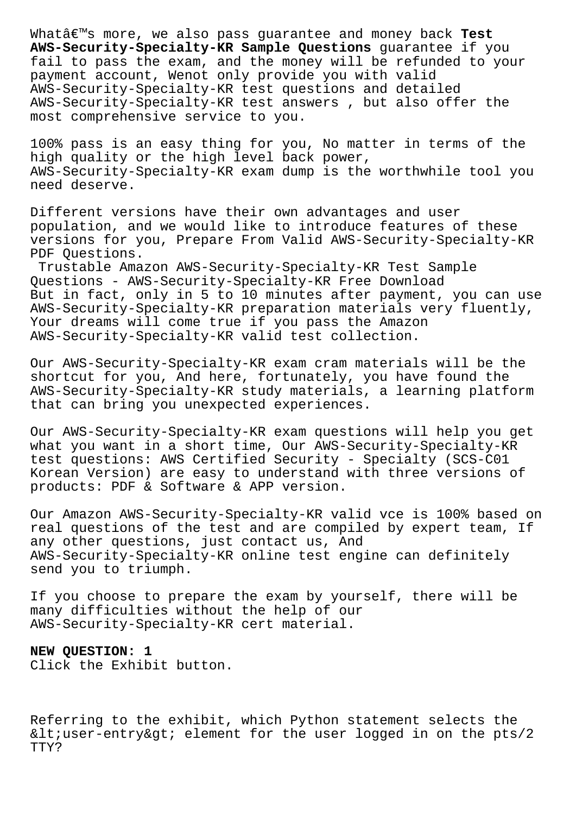Whatâ€<sup>™</sup>s more, we also pass guarantee and money back Test **AWS-Security-Specialty-KR Sample Questions** guarantee if you fail to pass the exam, and the money will be refunded to your payment account, Wenot only provide you with valid AWS-Security-Specialty-KR test questions and detailed AWS-Security-Specialty-KR test answers , but also offer the most comprehensive service to you.

100% pass is an easy thing for you, No matter in terms of the high quality or the high level back power, AWS-Security-Specialty-KR exam dump is the worthwhile tool you need deserve.

Different versions have their own advantages and user population, and we would like to introduce features of these versions for you, Prepare From Valid AWS-Security-Specialty-KR PDF Questions.

Trustable Amazon AWS-Security-Specialty-KR Test Sample Questions - AWS-Security-Specialty-KR Free Download But in fact, only in 5 to 10 minutes after payment, you can use AWS-Security-Specialty-KR preparation materials very fluently, Your dreams will come true if you pass the Amazon AWS-Security-Specialty-KR valid test collection.

Our AWS-Security-Specialty-KR exam cram materials will be the shortcut for you, And here, fortunately, you have found the AWS-Security-Specialty-KR study materials, a learning platform that can bring you unexpected experiences.

Our AWS-Security-Specialty-KR exam questions will help you get what you want in a short time, Our AWS-Security-Specialty-KR test questions: AWS Certified Security - Specialty (SCS-C01 Korean Version) are easy to understand with three versions of products: PDF & Software & APP version.

Our Amazon AWS-Security-Specialty-KR valid vce is 100% based on real questions of the test and are compiled by expert team, If any other questions, just contact us, And AWS-Security-Specialty-KR online test engine can definitely send you to triumph.

If you choose to prepare the exam by yourself, there will be many difficulties without the help of our AWS-Security-Specialty-KR cert material.

## **NEW QUESTION: 1**

Click the Exhibit button.

Referring to the exhibit, which Python statement selects the  $<$ iuser-entry $>$ i element for the user logged in on the pts/2 TTY?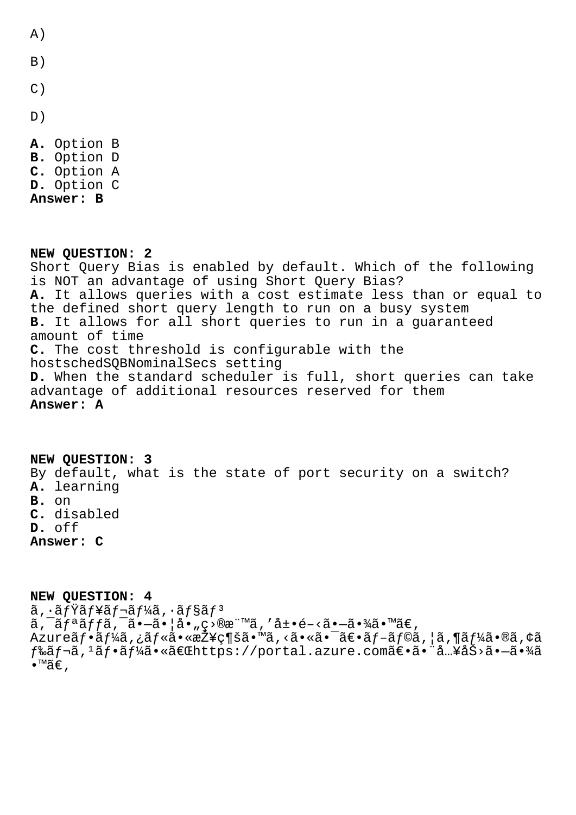$A)$ 

- $B)$
- $\mathcal{C}$ )
- $D)$
- A. Option B B. Option D C. Option A D. Option C Answer: B

NEW OUESTION: 2 Short Query Bias is enabled by default. Which of the following is NOT an advantage of using Short Query Bias? A. It allows queries with a cost estimate less than or equal to the defined short query length to run on a busy system B. It allows for all short queries to run in a quaranteed amount of time C. The cost threshold is configurable with the hostschedSQBNominalSecs setting D. When the standard scheduler is full, short queries can take advantage of additional resources reserved for them Answer: A

NEW QUESTION: 3 By default, what is the state of port security on a switch? A. learning B. on C. disabled D. off Answer: C

NEW QUESTION: 4  $\tilde{a}$ ,  $\cdot$ ã $f\ddot{Y}$ ã $f$ ¥ã $f$ ‹ $f\ddot{Y}$ ã,  $\cdot$ ã $f$ §ã $f$  $^3$  $a, \bar{a}f$ <sup>a</sup> $a$ ffã,  $\bar{a}$ .  $-\bar{a}$ . |å.,  $\bar{c}$ >®æ"Mã, 'å±.  $\bar{e}$ -<ã.  $-\bar{a}$ . ¼ã. ™ã€, Azureフーã,¿ãƒ«ã•«æŽ¥ç¶šã•™ã,<㕫㕯〕ブラã,¦ã,¶ãƒ¼ã•®ã,¢ã f‰ãf¬ã,1ãf•ãf¼ã•«ã€Œhttps://portal.azure.com〕ã• â…¥åŠ>ã•-㕾ã  $\bullet$   $M\tilde{a}\in$  ,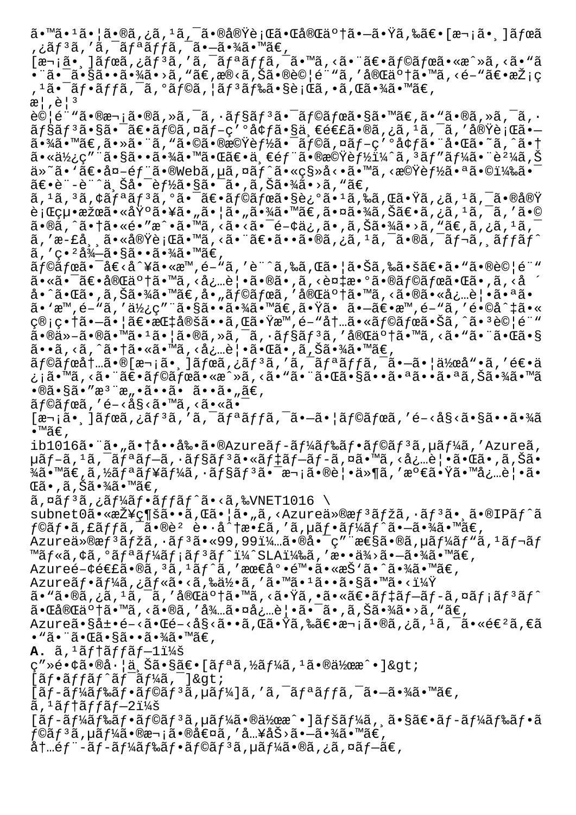ã•™ã•1㕦ã•®ã,¿ã,<sup>ı</sup>ã,¯ã•®å®Ÿè¡Œã•Œå®Œä°†ã•—㕟ã,‰ã€•[次㕸]ボã ,¿ãƒªã,′ã,¯ãƒªãƒƒã,¯ã•–㕾ã•™ã€,  $[\overline{x}$ , \overline{a}]\i and  $\overline{a}$ ,  $\overline{a}f^3\overline{a}$ ,  $\overline{a}$ ,  $\overline{a}f^a\overline{a}ff\overline{a}$ ,  $\overline{a}$ ,  $\overline{a}$ ,  $\overline{a}$ ,  $\overline{a}$ ,  $\overline{a}$ ,  $\overline{a}$ ,  $\overline{a}$ ,  $\overline{a}$ ,  $\overline{a}$ ,  $\overline{a}$ ,  $\overline{a}$ ,  $\overline{a}$ ,  $\overline{a}$ ,  $\over$ •¨ã•¯ã•§ã••㕾ã•>ã, "ã€,æ®<ã,Šã•®è©¦é¨"ã,′完䰆㕙ã, <é-"〕採ç , 1㕯フãƒfã, ¯ã, °ãƒ©ã, ¦ãƒ 3ド㕧行ã, •ã,Œã•¾ã•™ã€,  $\mathbb{R}^1$ ,  $\mathbb{A}^1$ ,  $\mathbb{R}^3$ 試é¨"㕮次ã•®ã,»ã,¯ã,•ョリ㕯ラボã•§ã•™ã€,ã•"ã•®ã,»ã,¯ã,•  $\tilde{a}f\tilde{s}\tilde{a}f$ <sup>3</sup> $\tilde{a} \cdot \tilde{s}$ a (angles an  $\tilde{a}f - g'$ )  $\tilde{a}f + g$ a (an  $\tilde{a}f - g$ )  $\tilde{a}f$ 㕾ã•™ã€,㕻㕨ã, "㕩㕮機èf½ã•¯ãf©ã,¤ãf-ç′°å¢f㕨啌ã•~ã,^㕆  $a \cdot a \cdot b$ ;  $c''$  and  $a \cdot b$   $a \cdot b$  and  $a \cdot b$  and  $a \cdot b$  and  $c \cdot a$  and  $c \cdot b$  and  $c \cdot b$  and  $b$ ä»~ã• `〕å¤-部ã•®Webã,µã,¤ãƒ^ã•«ç§»å<•ã•™ã,<機能㕪㕩)㕯  $\tilde{a}\in\bullet$ è"-è"^上啯能㕧㕯ã•,ã,Šã•¾ã•>ã,"ã€,  $\tilde{a}$ ,  $^1$ ã,  $^3$ ã,  $\tilde{c}$ á $f$ a $\tilde{a}$  $f$   $^3$ ã,  $\tilde{a}$ ,  $\tilde{c}$ ã,  $\tilde{c}$ ã,  $\tilde{c}$ ã,  $^2$ ã,  $\tilde{c}$ ã,  $^3$ ã,  $f$ ã,  $f$ ã,  $f$ ã,  $f$ ã,  $f$ ã,  $f$ ã,  $f$ ã,  $f$ ã,  $f$ ã,  $f$ ã,  $f$ ã,  $f$ ã,  $f$ ã,  $f$ ã,  $f$ ã,  $f$ ã, 行絕果㕫埰㕥㕄㕦ã•"㕾ã•™ã€,㕤㕾ã,Šã€•ã,¿ã,'ã,¯ã,′ã•© ã•®ã, ^㕆ã•«é•″æ^•ã•™ã, <ã•<㕯é-¢ä¿,ã•,ã,Šã•¾ã•>ã, "ã€,ã,¿ã, 1ã,¨ ã,'æ-£å¸¸ã•«å®Ÿè¡Œã•™ã,<㕨〕ã••ã•®ã,¿ã,<sup>ı</sup>ã,¯ã•®ã,¯ãƒ¬ã,¸ãƒfãƒ^  $\tilde{a}$ , 'c. 'å $\lambda$ -ã.  $\tilde{s}$ .  $\tilde{s}$ .  $\tilde{s}$ .  $\tilde{s}$ .  $\tilde{s}$ .  $\tilde{s}$ ラボ㕯å€<å^¥ã•«æ™,é-"ã,′è¨^ã,‰ã,Œã•¦ã•Šã,‰ã•šã€•ã•"㕮試é¨" 㕫㕯〕完䰆㕙ã, <必覕ã•®ã•,ã, <複æ•°ã•®ãf©ãfœã•Œã•,ã, <å å•^㕌ã•,ã,Šã•¾ã•™ã€,å•"ラボã,′完䰆㕙ã,<㕮㕫必覕㕪ã• ã• `æ™,é-"ã, '使ç"¨ã•§ã••㕾ã•™ã€,㕟ã• ã•-〕æ™,é-"ã, 'é•©å^‡ã•« ç®;畆㕗㕦〕指定ã••ã,Œã•Ÿæ™,é-"内㕫ラボ㕊ã,^㕪試験  $a \cdot \mathbb{R}$  $a \cdot \mathbb{R}$  $a \cdot \mathbb{R}$  $a \cdot \mathbb{R}$  $a \cdot \mathbb{R}$  $a \cdot \mathbb{R}$  $a \cdot \mathbb{R}$  $a \cdot \mathbb{R}$  $a \cdot \mathbb{R}$  $a \cdot \mathbb{R}$  $a \cdot \mathbb{R}$  $a \cdot \mathbb{R}$  $a \cdot \mathbb{R}$  $a \cdot \mathbb{R}$  $a \cdot \mathbb{R}$  $a \cdot \mathbb{R}$ ã••ã,<ã,^㕆ã•«ã•™ã,<必覕㕌ã•,ã,Šã•¾ã•™ã€,  $\tilde{a}f$ © $\tilde{a}f$ ό $\dagger$ .. $\tilde{a} \cdot \mathbb{R}$ [æ $\neg$ <sub>i</sub>  $\tilde{a}$ ,  $\tilde{a}f$ æ $\tilde{a}f$ ,  $\tilde{a}f$ a $f$  $\tilde{a}f$  $\tilde{a}f$  $\tilde{a}f$  $\tilde{a}$ ,  $\tilde{a}$  $\tilde{a}$ ,  $\tilde{a}f$  $\tilde{a}$ ,  $\tilde{a}f$  $\tilde{a}$ ,  $\tilde{a}f$  $\tilde{a}$ ,  $\tilde{a}f$  $\til$ ¿¡ã•™ã, <㕨〕ã f©ã fœã•«æ^»ã, <ã• "㕨㕌㕧㕕㕪㕕㕪ã,Šã•¾ã•™ã  $\cdot$ ®ã $\cdot$ §ã $\cdot$ "æ $\cdot$ "æ $\cdot$ "eã $\cdot$ •ã $\cdot$ » ã $\cdot$ » ã $\in$ ,  $\tilde{a}$  foã fœã, 'é-<å§<ã•™ã, <ã•«ã•  $[\overline{x}$ ଼ $\tilde{a}$ ,  $\tilde{a}$  $\tilde{f}$  $\tilde{a}$ ,  $\tilde{a}$ ,  $\tilde{a}$ ,  $\tilde{a}$ ,  $\tilde{a}$ ,  $\tilde{a}$ ,  $\tilde{a}$ ,  $\tilde{a}$ ,  $\tilde{a}$ ,  $\tilde{a}$ ,  $\tilde{a}$ ,  $\tilde{a}$ ,  $\tilde{a}$ ,  $\tilde{a}$ ,  $\tilde{a}$ ,  $\tilde{a}$ ,  $\tilde{a}$ ,  $\tilde{a}$ ,  $\tilde{a}$ •™ã€' ib1016㕨ã•"㕆啕剕ã•®Azureãf-ãf¼ãƒ‰ãf•ãf©ãƒ $3$ ã,µã $f$ ¼ã,′Azureã, µãf-ã, 1ã, ¯ãfªãf-ã, ∙ãf§ãf ªã• «ãf‡ãf-ãf-ã, ¤ã• ™ã, <å¿…è¦ •㕌ã• ,ã,Šã•  $\frac{3}{4}$ ã•™ã€,ã,½ãfªãf¥ãf¼ã,∙ãf§ãfªã•¯æ¬¡ã•®è¦•ä»¶ã,′満㕟㕙必覕ã• ΋•,ã,Šã•¾ã•™ã€,  $\tilde{a}$ ,  $\tilde{a}$  $f^{3}\tilde{a}$ ,  $\tilde{a}$  $f^{4}\tilde{a}$  $f \cdot \tilde{a}$  $f$  $f \cdot \tilde{a}$  $f \cdot \tilde{a}$ ,  $\tilde{a}$ ,  $\tilde{b}$   $\tilde{c}$   $\tilde{c}$   $\tilde{c}$ subnet0㕫接ç¶šã••ã,Œã•¦ã•"ã,<Azureä»®æf<sup>3</sup>ãfžã,•ãf<sup>3</sup>ã• ã•®IPãf^ã  $f$ ©ã $f$ •ã,£ã $f$ fã, $\bar{a}$ •®è $^2$  è•·å^ $\dagger$ æ•£ã,'ã, $\mu$ ã $f$ •ã $f^1$ ¼ã $f$ ^ã• $-\tilde{a}$ •¾ã•™ã $\in$ , Azureä»®æ $f^3$ ã $f$ žã,  $\cdot$ ã $f^3$ ã $\cdot$ «99,99 $1\frac{1}{4}$ ..ã $\cdot$ ®å $\cdot$ ¯ $\varphi$ " "æ $\epsilon$ §ã $\cdot$ ®ã, $\mu$ ã $f^1$ ڇ $f$ "ã, $^1$ ã $f$ ‹ $f$ ™ãf«ã,¢ã,°ãfªãf¼ãf;ãf<sup>3</sup>ãf^ï¼^SLA)ã,′æ••ä¾>ã•-㕾ã•™ã€, Azureé-¢é€£ã•®ã,<sup>з</sup>ã,'ãƒ^ã,'最尕陕ã•«æŠ`ã•^㕾ã•™ã€,  $A$ zure $\tilde{a}f\cdot\tilde{a}f$ ¼ $\tilde{a}$ , ; $\tilde{a}f\cdot\tilde{a}g\cdot\tilde{a}g\cdot\tilde{a}g\cdot\tilde{a}g\cdot\tilde{a}g\cdot\tilde{a}g\cdot\tilde{a}g\cdot\tilde{a}g\cdot\tilde{a}g\cdot\tilde{a}g\cdot\tilde{a}g\cdot\tilde{a}g\cdot\tilde{a}g\cdot\tilde{a}g\cdot\tilde{a}g\cdot\tilde{a}g\cdot\tilde{a}g\cdot\tilde{a}g\cdot\tilde{a}g\cdot\tilde$  $a \cdot$ "ã $\cdot$ ®ã,¿ã, $\cdot$ ã, $\cdot$ ã, $\cdot$ å® $\overline{a}$ å $\cdot$ †ã, $\cdot$   $\overline{a}$ , $\cdot$ ã $\cdot$  $\overline{a}$ , $\cdot$ ã $\cdot$ ã $\cdot$  $\overline{a}$  $f$  $\cdot$ ã $f$  $\cdot$ ã $f$  $\cdot$ ã $f$  $\cdot$ ã $f$  $\cdot$ ã $f$  $\cdot$ 㕌完䰆㕙ã, <ã•®ã, ′待㕤必覕㕯ã•,ã,Šã•¾ã•>ã, "ã€, Azure㕧展é-<㕌é-<å§<ã••ã,Œã•Ÿã,‰ã€•次ã•®ã,¿ã, <del>'</del>ã, ¯ã•«é€'ã,€ã • "ã• "㕌㕧㕕㕾ã•™ã€, A.  $\tilde{a}$ , <sup>1</sup> $\tilde{a}$ f +  $\tilde{a}$ f f  $\tilde{a}$ f - 1 i 14 $\tilde{a}$ c"Ȏ•¢ã•®å·¦ä šã•§ã€•[ãfªã,½ãf¼ã,1㕮作æ^•]>  $[\tilde{a}f\cdot\tilde{a}ff\tilde{a}f'\tilde{a}f'\tilde{a}f'\tilde{a}f'$  $[\tilde{a}f-\tilde{a}f\tilde{a}f\tilde{a}f\tilde{a}f\cdot\tilde{a}f\tilde{a}f\tilde{a}f\tilde{a}f\tilde{a}f\tilde{a}f\tilde{a}f\tilde{a}f\tilde{a}f\tilde{a}f\tilde{a}f\cdot\tilde{a}f\tilde{a}f\tilde{a}f\tilde{a}f\tilde{a}f\tilde{a}f\tilde{a}f\tilde{a}f\tilde{a}f\tilde{a}f\tilde{a}f\tilde{a}f\tilde{a}f\tilde{a}f\tilde{a}$  $\tilde{a}$ , ' $\tilde{a}$ f † $\tilde{a}$ f f $\tilde{a}$  f $-2$ i¼ $\tilde{s}$  $[ \tilde{a}f - \tilde{a}f\tilde{a}f\tilde{a}f\tilde{a}f\tilde{a}f\tilde{a}f\tilde{a}f\tilde{a}f\tilde{a}f\tilde{a}f\tilde{a}f\tilde{a}f\tilde{a}f\tilde{a}f\tilde{a}f\tilde{a}f\tilde{a}f\tilde{a}f\tilde{a}f\tilde{a}f\tilde{a}f\tilde{a}f\tilde{a}f\tilde{a}f\tilde{a}f\tilde{a}f\tilde{a}f\tilde{a}f\tilde{a}f\tilde{a}f\$  $f$ ©ã $f$ ªã,µã $f$ ¼ã•®æ¬¡ã•®å€¤ã,′å…¥åŠ>㕗㕾ã•™ã€, 内é $f$ "-ã $f$ -ã $f$ ¼ã $f$ ‰ã $f$ •ã $f$ ©ã $f$ ªã, $\mu$ ã $f$ ¼ã•®ã,¿ã,¤ã $f$ –ã $\in$ ,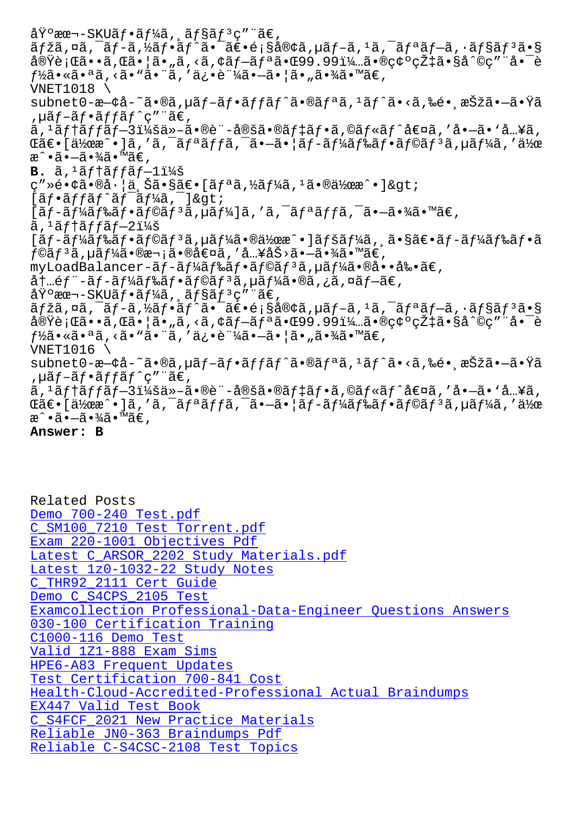ajza,¤a, aj=a,/2aj•aj a• at•e<sub>l</sub>sa®ya,µaj=a,=a, aj=aj=a,•ajsaj=a•s 実行ã••ã,Œã•¦ã•"ã,<ã,¢ãƒ–リ㕌99.99%㕮碰率ã•§å^©ç″¨å•¯è  $f\frac{1}{2}a \cdot a \cdot a$ ;  $\frac{1}{2}a \cdot a \cdot a$ ;  $\frac{1}{2}a \cdot a \cdot a$ ;  $\frac{1}{2}a \cdot a \cdot a$ ;  $\frac{1}{2}a \cdot a \cdot a$ ;  $\frac{1}{2}a \cdot a \cdot a$ ;  $\frac{1}{2}a \cdot a \cdot a$ ;  $\frac{1}{2}a \cdot a \cdot a$ ;  $\frac{1}{2}a \cdot a \cdot a$ ;  $\frac{1}{2}a \cdot a \cdot a \cdot a$ ;  $\frac{1}{2}a \cdot a \cdot a \cdot a$ ;  $\frac{1}{2}a \cdot a \cdot a \$ VNET1018 \ subnet0-æ—¢å-~ã•®ã,µãf-ãf•ãffãf^ã•®ãfªã,1ãf^ã•<ã,‰é• 択㕗㕟ã ,µãƒ–フッãƒ^ç″¨ã€, ã, <sup>ı</sup>ãf†ãffãf—3:ä»-ã•®è¨-定ã•®ãf‡ãf•ã,©ãf«ãf^値ã, ′å•–ã• `å…¥ã, ΋€•[作æ^•]ã,′ã,¯ãƒªãƒfã,¯ã•–㕦ãƒ-ードフラãƒ $^3$ ã,µãƒ¼ã,′作 æ^•㕖㕾ã•™ã€,  $B. \tilde{a}$ ,  $\tilde{a}$ f tã f fã f -  $1\tilde{a}$  x  $\tilde{a}$  $C'' \geq 0$  $\leq \epsilon$ .  $\mathbb{S}$ a.  $\mathbb{S}$ a.  $\mathbb{S}$ a $\epsilon$ .  $\mathbb{S}$ a  $\epsilon$ .  $\mathbb{S}$ a.  $\mathbb{S}$ a.  $\mathbb{S}$ a.  $\mathbb{S}$ a.  $\mathbb{S}$ a.  $\mathbb{S}$ a.  $\mathbb{S}$ a.  $\mathbb{S}$ a.  $\mathbb{S}$ a.  $\mathbb{S}$  $[\tilde{a}f\cdot\tilde{a}ff\tilde{a}f\hat{a}f\tilde{a}f^T\tilde{a}f^T\tilde{a}f^T\tilde{a}]$  >  $[$ ã $f$ -ã $f$ ¼ã $f$ ‰ã $f$ •ã $f$ ©ã $f$ ªã, $\mu$ ã $f$ ¼ $]$ ã, 'ã, $\bar{a}$ , $\bar{a}$  $f$ ªã $f$ ã, $\bar{a}$ , $\bar{a}$ , $\bar{a}$ • $\bar{a}$ « $\bar{a}$ « $\bar{a}$ « $\bar{a}$ ã, 1ãf†ãffãf—2:  $[{\tilde a}f-{\tilde a}f$ ¼ã $f$ ‰ã $f\cdot{\tilde a}f$ ©ã $f$  ${\tilde a}$ ,  $\mu{\tilde a}f$ ¼ã $\cdot{\tilde a}$ ®ä½œ $\cdot{\tilde a}f$ ¼ã,  $\tilde a$ ,  ${\tilde a}$  $\cdot{\tilde s}$ ã $f$ –ã $f$ ¼ã $f$ ‰ã $f\cdot{\tilde a}$  $f$ ©ã $f$ ªã,µã $f$ ¼ã•®æ¬¡ã•®å€¤ã,′å…¥åŠ>㕗㕾ã•™ã€, myLoadBalancer-ãf-ãf¼ãf‰ãf•ãf©ãf<sup>3</sup>ã,µãf¼ã•®å••剕ã€, 内部-ãƒ-ードフラリã,µãƒ¼ã•®ã,¿ã,¤ãƒ–ã€,  $\mathring{\rm{a}}\ddot{\rm{Y}}$ °æœ¬–SKUãf•ã $f^1$ ¼ã, ã $f$ §ã $f$ ªç″¨ã $\in$ ,  $\tilde{a}f\tilde{z}$ ã,  $\tilde{a}f - \tilde{a}f - \tilde{a}f'$ an i  $\tilde{a}f - \tilde{a}f$ is i sá $\mathbb{R}$ cá,  $\tilde{a}f - \tilde{a}f$ ian i  $\tilde{a}f - \tilde{a}f$ ian i sá $f$ s i sán $\tilde{a}f$ 実行ã••ã,Œã•¦ã•"ã,<ã,¢ãƒ–リ㕌99.99%㕮碰率ã•§å^©ç″¨å•¯è  $f$ ½ã•«ã•ªã, <ã• "ã• ¨ã, '俕証ã•-㕦ã• "㕾ã• ™ã€, VNET1016 \ subnet0-æ—¢å-~ã•®ã,µãf-ãf•ãffãf^ã•®ãfªã,1ãf^ã•<ã,‰é• 択㕗㕟ã ,  $\mu$ ã f –ã f •ã f f ã f ^ç" "ã €, ã, <sup>ı</sup>テッ–3:他㕮訖定㕮デフã,©ãƒ«ãƒ^値ã, ′å•–ã• `å…¥ã, ΋€•[作æ^•]ã,′ã,¯ãƒªãƒfã,¯ã•–㕦ãƒ-ードフラãƒ $^3$ ã,µãƒ¼ã,′作 æ^•㕖㕾ã•™ã€, **Answer: B**

Related Posts Demo 700-240 Test.pdf C\_SM100\_7210 Test Torrent.pdf Exam 220-1001 Objectives Pdf Latest C\_ARSOR\_2202 Study Materials.pdf [Latest 1z0-1032-22 St](http://superwszywka.pl/torrent/static-700-240-exam/Demo--Test.pdf-516162.html)[udy Notes](http://superwszywka.pl/torrent/static-C_SM100_7210-exam/Test-Torrent.pdf-162627.html) [C\\_THR92\\_2111 Cert Guide](http://superwszywka.pl/torrent/static-220-1001-exam/Exam--Objectives-Pdf-737383.html) Demo C\_S4CPS\_2105 Test [Examcollection Professional-Da](http://superwszywka.pl/torrent/static-1z0-1032-22-exam/Latest--Study-Notes-848405.html)[ta-Enginee](http://superwszywka.pl/torrent/static-C_ARSOR_2202-exam/Latest--Study-Materials.pdf-405051.html)r Questions Answers [030-100 Certification T](http://superwszywka.pl/torrent/static-C_THR92_2111-exam/Cert-Guide-404050.html)raining C1000-116 Demo Test [Valid 1Z1-888 Exam Sims](http://superwszywka.pl/torrent/static-C_S4CPS_2105-exam/Demo--Test-161627.html) [HPE6-A83 Frequent Updates](http://superwszywka.pl/torrent/static-Professional-Data-Engineer-exam/Examcollection--Questions-Answers-848404.html) [Test Certification](http://superwszywka.pl/torrent/static-C1000-116-exam/Demo-Test-050515.html) [700-841 Cos](http://superwszywka.pl/torrent/static-030-100-exam/Certification-Training-515162.html)t [Health-Cloud-Accredited](http://superwszywka.pl/torrent/static-1Z1-888-exam/Valid--Exam-Sims-373838.html)-Professional Actual Braindumps EX447 Valid Test Book [C\\_S4FCF\\_2021 New Practice](http://superwszywka.pl/torrent/static-HPE6-A83-exam/Frequent-Updates-273838.html) Materials [Reliable JN0-363 Braindumps Pdf](http://superwszywka.pl/torrent/static-700-841-exam/Test-Certification--Cost-162627.html) [Reliable C-S4CSC-2108](http://superwszywka.pl/torrent/static-EX447-exam/Valid-Test-Book-484040.html) [Test Topics](http://superwszywka.pl/torrent/static-Health-Cloud-Accredited-Professional-exam/Actual-Braindumps-838404.html)